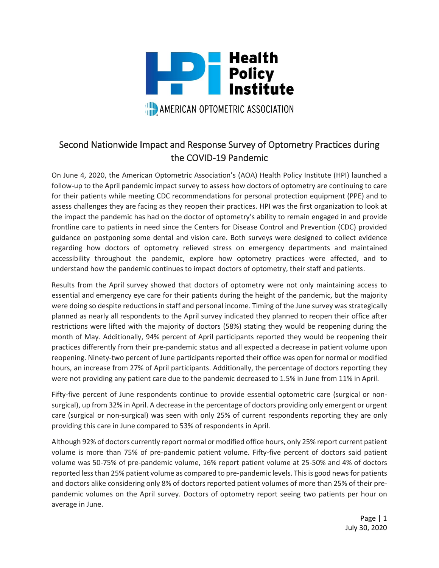

## Second Nationwide Impact and Response Survey of Optometry Practices during the COVID-19 Pandemic

On June 4, 2020, the American Optometric Association's (AOA) Health Policy Institute (HPI) launched a follow-up to the April pandemic impact survey to assess how doctors of optometry are continuing to care for their patients while meeting CDC recommendations for personal protection equipment (PPE) and to assess challenges they are facing as they reopen their practices. HPI was the first organization to look at the impact the pandemic has had on the doctor of optometry's ability to remain engaged in and provide frontline care to patients in need since the Centers for Disease Control and Prevention (CDC) provided guidance on postponing some dental and vision care. Both surveys were designed to collect evidence regarding how doctors of optometry relieved stress on emergency departments and maintained accessibility throughout the pandemic, explore how optometry practices were affected, and to understand how the pandemic continues to impact doctors of optometry, their staff and patients.

Results from the April survey showed that doctors of optometry were not only maintaining access to essential and emergency eye care for their patients during the height of the pandemic, but the majority were doing so despite reductions in staff and personal income. Timing of the June survey was strategically planned as nearly all respondents to the April survey indicated they planned to reopen their office after restrictions were lifted with the majority of doctors (58%) stating they would be reopening during the month of May. Additionally, 94% percent of April participants reported they would be reopening their practices differently from their pre-pandemic status and all expected a decrease in patient volume upon reopening. Ninety-two percent of June participants reported their office was open for normal or modified hours, an increase from 27% of April participants. Additionally, the percentage of doctors reporting they were not providing any patient care due to the pandemic decreased to 1.5% in June from 11% in April.

Fifty-five percent of June respondents continue to provide essential optometric care (surgical or nonsurgical), up from 32% in April. A decrease in the percentage of doctors providing only emergent or urgent care (surgical or non-surgical) was seen with only 25% of current respondents reporting they are only providing this care in June compared to 53% of respondents in April.

Although 92% of doctors currently report normal or modified office hours, only 25% report current patient volume is more than 75% of pre-pandemic patient volume. Fifty-five percent of doctors said patient volume was 50-75% of pre-pandemic volume, 16% report patient volume at 25-50% and 4% of doctors reported less than 25% patient volume as compared to pre-pandemic levels. This is good news for patients and doctors alike considering only 8% of doctors reported patient volumes of more than 25% of their prepandemic volumes on the April survey. Doctors of optometry report seeing two patients per hour on average in June.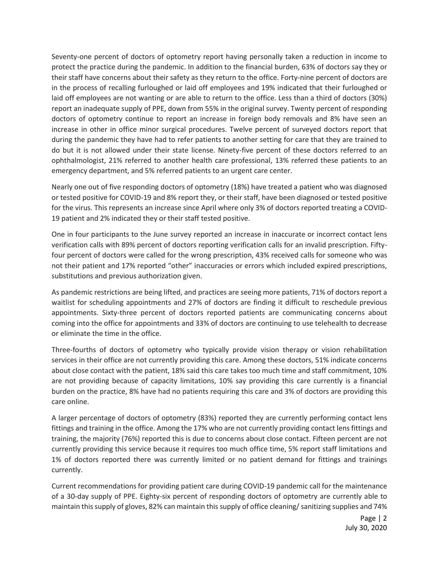Seventy-one percent of doctors of optometry report having personally taken a reduction in income to protect the practice during the pandemic. In addition to the financial burden, 63% of doctors say they or their staff have concerns about their safety as they return to the office. Forty-nine percent of doctors are in the process of recalling furloughed or laid off employees and 19% indicated that their furloughed or laid off employees are not wanting or are able to return to the office. Less than a third of doctors (30%) report an inadequate supply of PPE, down from 55% in the original survey. Twenty percent of responding doctors of optometry continue to report an increase in foreign body removals and 8% have seen an increase in other in office minor surgical procedures. Twelve percent of surveyed doctors report that during the pandemic they have had to refer patients to another setting for care that they are trained to do but it is not allowed under their state license. Ninety-five percent of these doctors referred to an ophthalmologist, 21% referred to another health care professional, 13% referred these patients to an emergency department, and 5% referred patients to an urgent care center.

Nearly one out of five responding doctors of optometry (18%) have treated a patient who was diagnosed or tested positive for COVID-19 and 8% report they, or their staff, have been diagnosed or tested positive for the virus. This represents an increase since April where only 3% of doctors reported treating a COVID-19 patient and 2% indicated they or their staff tested positive.

One in four participants to the June survey reported an increase in inaccurate or incorrect contact lens verification calls with 89% percent of doctors reporting verification calls for an invalid prescription. Fiftyfour percent of doctors were called for the wrong prescription, 43% received calls for someone who was not their patient and 17% reported "other" inaccuracies or errors which included expired prescriptions, substitutions and previous authorization given.

As pandemic restrictions are being lifted, and practices are seeing more patients, 71% of doctors report a waitlist for scheduling appointments and 27% of doctors are finding it difficult to reschedule previous appointments. Sixty-three percent of doctors reported patients are communicating concerns about coming into the office for appointments and 33% of doctors are continuing to use telehealth to decrease or eliminate the time in the office.

Three-fourths of doctors of optometry who typically provide vision therapy or vision rehabilitation services in their office are not currently providing this care. Among these doctors, 51% indicate concerns about close contact with the patient, 18% said this care takes too much time and staff commitment, 10% are not providing because of capacity limitations, 10% say providing this care currently is a financial burden on the practice, 8% have had no patients requiring this care and 3% of doctors are providing this care online.

A larger percentage of doctors of optometry (83%) reported they are currently performing contact lens fittings and training in the office. Among the 17% who are not currently providing contact lens fittings and training, the majority (76%) reported this is due to concerns about close contact. Fifteen percent are not currently providing this service because it requires too much office time, 5% report staff limitations and 1% of doctors reported there was currently limited or no patient demand for fittings and trainings currently.

Current recommendations for providing patient care during COVID-19 pandemic call for the maintenance of a 30-day supply of PPE. Eighty-six percent of responding doctors of optometry are currently able to maintain this supply of gloves, 82% can maintain this supply of office cleaning/ sanitizing supplies and 74%